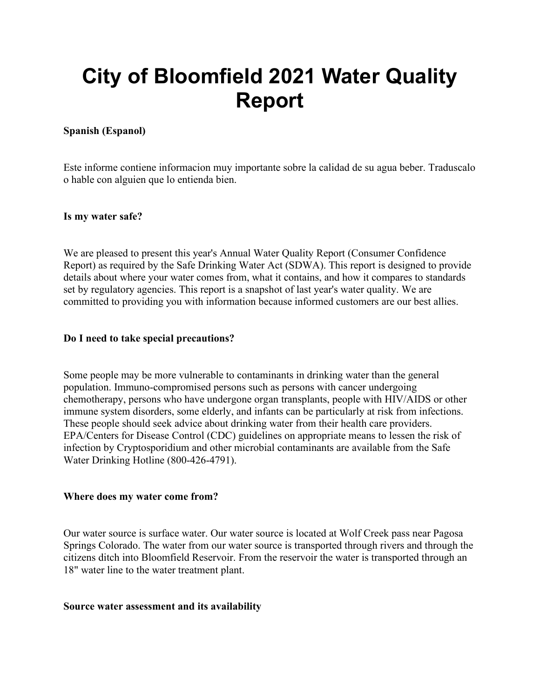# **City of Bloomfield 2021 Water Quality Report**

## **Spanish (Espanol)**

Este informe contiene informacion muy importante sobre la calidad de su agua beber. Traduscalo o hable con alguien que lo entienda bien.

#### **Is my water safe?**

We are pleased to present this year's Annual Water Quality Report (Consumer Confidence Report) as required by the Safe Drinking Water Act (SDWA). This report is designed to provide details about where your water comes from, what it contains, and how it compares to standards set by regulatory agencies. This report is a snapshot of last year's water quality. We are committed to providing you with information because informed customers are our best allies.

#### **Do I need to take special precautions?**

Some people may be more vulnerable to contaminants in drinking water than the general population. Immuno-compromised persons such as persons with cancer undergoing chemotherapy, persons who have undergone organ transplants, people with HIV/AIDS or other immune system disorders, some elderly, and infants can be particularly at risk from infections. These people should seek advice about drinking water from their health care providers. EPA/Centers for Disease Control (CDC) guidelines on appropriate means to lessen the risk of infection by Cryptosporidium and other microbial contaminants are available from the Safe Water Drinking Hotline (800-426-4791).

#### **Where does my water come from?**

Our water source is surface water. Our water source is located at Wolf Creek pass near Pagosa Springs Colorado. The water from our water source is transported through rivers and through the citizens ditch into Bloomfield Reservoir. From the reservoir the water is transported through an 18" water line to the water treatment plant.

#### **Source water assessment and its availability**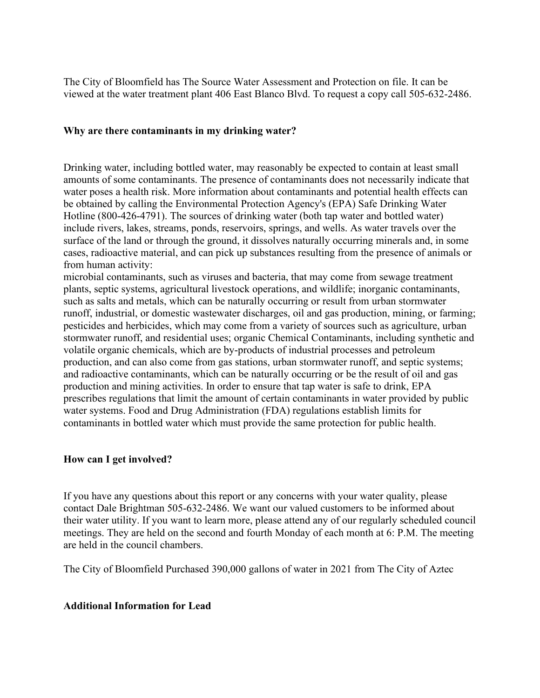The City of Bloomfield has The Source Water Assessment and Protection on file. It can be viewed at the water treatment plant 406 East Blanco Blvd. To request a copy call 505-632-2486.

#### **Why are there contaminants in my drinking water?**

Drinking water, including bottled water, may reasonably be expected to contain at least small amounts of some contaminants. The presence of contaminants does not necessarily indicate that water poses a health risk. More information about contaminants and potential health effects can be obtained by calling the Environmental Protection Agency's (EPA) Safe Drinking Water Hotline (800-426-4791). The sources of drinking water (both tap water and bottled water) include rivers, lakes, streams, ponds, reservoirs, springs, and wells. As water travels over the surface of the land or through the ground, it dissolves naturally occurring minerals and, in some cases, radioactive material, and can pick up substances resulting from the presence of animals or from human activity:

microbial contaminants, such as viruses and bacteria, that may come from sewage treatment plants, septic systems, agricultural livestock operations, and wildlife; inorganic contaminants, such as salts and metals, which can be naturally occurring or result from urban stormwater runoff, industrial, or domestic wastewater discharges, oil and gas production, mining, or farming; pesticides and herbicides, which may come from a variety of sources such as agriculture, urban stormwater runoff, and residential uses; organic Chemical Contaminants, including synthetic and volatile organic chemicals, which are by-products of industrial processes and petroleum production, and can also come from gas stations, urban stormwater runoff, and septic systems; and radioactive contaminants, which can be naturally occurring or be the result of oil and gas production and mining activities. In order to ensure that tap water is safe to drink, EPA prescribes regulations that limit the amount of certain contaminants in water provided by public water systems. Food and Drug Administration (FDA) regulations establish limits for contaminants in bottled water which must provide the same protection for public health.

#### **How can I get involved?**

If you have any questions about this report or any concerns with your water quality, please contact Dale Brightman 505-632-2486. We want our valued customers to be informed about their water utility. If you want to learn more, please attend any of our regularly scheduled council meetings. They are held on the second and fourth Monday of each month at 6: P.M. The meeting are held in the council chambers.

The City of Bloomfield Purchased 390,000 gallons of water in 2021 from The City of Aztec

## **Additional Information for Lead**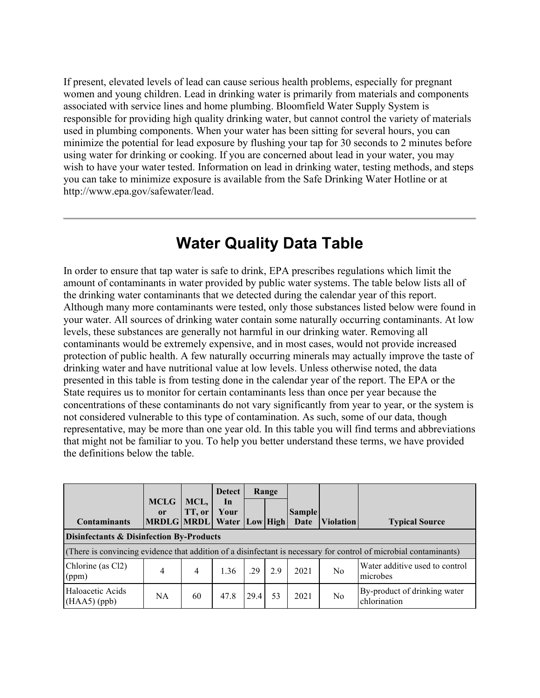If present, elevated levels of lead can cause serious health problems, especially for pregnant women and young children. Lead in drinking water is primarily from materials and components associated with service lines and home plumbing. Bloomfield Water Supply System is responsible for providing high quality drinking water, but cannot control the variety of materials used in plumbing components. When your water has been sitting for several hours, you can minimize the potential for lead exposure by flushing your tap for 30 seconds to 2 minutes before using water for drinking or cooking. If you are concerned about lead in your water, you may wish to have your water tested. Information on lead in drinking water, testing methods, and steps you can take to minimize exposure is available from the Safe Drinking Water Hotline or at http://www.epa.gov/safewater/lead.

# **Water Quality Data Table**

In order to ensure that tap water is safe to drink, EPA prescribes regulations which limit the amount of contaminants in water provided by public water systems. The table below lists all of the drinking water contaminants that we detected during the calendar year of this report. Although many more contaminants were tested, only those substances listed below were found in your water. All sources of drinking water contain some naturally occurring contaminants. At low levels, these substances are generally not harmful in our drinking water. Removing all contaminants would be extremely expensive, and in most cases, would not provide increased protection of public health. A few naturally occurring minerals may actually improve the taste of drinking water and have nutritional value at low levels. Unless otherwise noted, the data presented in this table is from testing done in the calendar year of the report. The EPA or the State requires us to monitor for certain contaminants less than once per year because the concentrations of these contaminants do not vary significantly from year to year, or the system is not considered vulnerable to this type of contamination. As such, some of our data, though representative, may be more than one year old. In this table you will find terms and abbreviations that might not be familiar to you. To help you better understand these terms, we have provided the definitions below the table.

|                                                                                                                   |                   |                | <b>Detect</b> |      | Range     |               |                                |                                              |
|-------------------------------------------------------------------------------------------------------------------|-------------------|----------------|---------------|------|-----------|---------------|--------------------------------|----------------------------------------------|
|                                                                                                                   | <b>MCLG</b><br>or | MCL,<br>TT, or | $\ln$<br>Your |      |           | <b>Sample</b> |                                |                                              |
| <b>Contaminants</b>                                                                                               | MRDLG MRDL Water  |                |               |      | Low  High | Date          | <i><u><b>Niolation</b></u></i> | <b>Typical Source</b>                        |
| Disinfectants & Disinfection By-Products                                                                          |                   |                |               |      |           |               |                                |                                              |
| (There is convincing evidence that addition of a disinfectant is necessary for control of microbial contaminants) |                   |                |               |      |           |               |                                |                                              |
| Chlorine (as Cl2)<br>(ppm)                                                                                        | 4                 | 4              | 1.36          | .29  | 2.9       | 2021          | N <sub>0</sub>                 | Water additive used to control<br>microbes   |
| Haloacetic Acids<br>$(HAA5)$ (ppb)                                                                                | NA                | 60             | 47.8          | 29.4 | 53        | 2021          | No                             | By-product of drinking water<br>chlorination |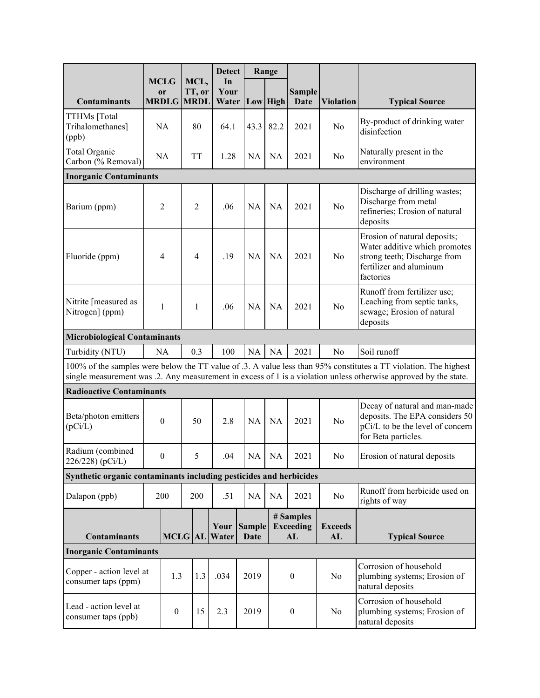|                                                                                                                                                                                                                                      |                                                                    |  |                   | <b>Detect</b> |                       | Range     |                                     |                      |                                                                                                                                       |
|--------------------------------------------------------------------------------------------------------------------------------------------------------------------------------------------------------------------------------------|--------------------------------------------------------------------|--|-------------------|---------------|-----------------------|-----------|-------------------------------------|----------------------|---------------------------------------------------------------------------------------------------------------------------------------|
|                                                                                                                                                                                                                                      | <b>MCLG</b><br><b>or</b>                                           |  | MCL,<br>TT, or    | In<br>Your    |                       |           | <b>Sample</b>                       |                      |                                                                                                                                       |
| <b>Contaminants</b>                                                                                                                                                                                                                  |                                                                    |  | <b>MRDLG MRDL</b> | Water         |                       | Low High  | <b>Date</b>                         | <b>Violation</b>     | <b>Typical Source</b>                                                                                                                 |
| TTHMs [Total<br>Trihalomethanes]<br>(ppb)                                                                                                                                                                                            | NA                                                                 |  | 80                | 64.1          | 43.3                  | 82.2      | 2021                                | No                   | By-product of drinking water<br>disinfection                                                                                          |
| Total Organic<br>Carbon (% Removal)                                                                                                                                                                                                  | NA                                                                 |  | <b>TT</b>         | 1.28          | NA                    | NA        | 2021                                | N <sub>0</sub>       | Naturally present in the<br>environment                                                                                               |
| <b>Inorganic Contaminants</b>                                                                                                                                                                                                        |                                                                    |  |                   |               |                       |           |                                     |                      |                                                                                                                                       |
| Barium (ppm)                                                                                                                                                                                                                         | $\overline{2}$                                                     |  | $\overline{2}$    | .06           | <b>NA</b>             | <b>NA</b> | 2021                                | No                   | Discharge of drilling wastes;<br>Discharge from metal<br>refineries; Erosion of natural<br>deposits                                   |
| Fluoride (ppm)                                                                                                                                                                                                                       | $\overline{4}$                                                     |  | 4                 | .19           | <b>NA</b>             | <b>NA</b> | 2021                                | No                   | Erosion of natural deposits;<br>Water additive which promotes<br>strong teeth; Discharge from<br>fertilizer and aluminum<br>factories |
| Nitrite [measured as<br>Nitrogen] (ppm)                                                                                                                                                                                              | 1                                                                  |  | $\mathbf{1}$      | .06           | <b>NA</b>             | <b>NA</b> | 2021                                | No                   | Runoff from fertilizer use;<br>Leaching from septic tanks,<br>sewage; Erosion of natural<br>deposits                                  |
|                                                                                                                                                                                                                                      | <b>Microbiological Contaminants</b>                                |  |                   |               |                       |           |                                     |                      |                                                                                                                                       |
| Turbidity (NTU)                                                                                                                                                                                                                      | NA                                                                 |  | 0.3               | 100           | NA                    | NA        | 2021                                | No                   | Soil runoff                                                                                                                           |
| 100% of the samples were below the TT value of .3. A value less than 95% constitutes a TT violation. The highest<br>single measurement was .2. Any measurement in excess of 1 is a violation unless otherwise approved by the state. |                                                                    |  |                   |               |                       |           |                                     |                      |                                                                                                                                       |
| <b>Radioactive Contaminants</b>                                                                                                                                                                                                      |                                                                    |  |                   |               |                       |           |                                     |                      |                                                                                                                                       |
| Beta/photon emitters<br>(pCi/L)                                                                                                                                                                                                      | $\boldsymbol{0}$                                                   |  | 50                | 2.8           | NA                    | <b>NA</b> | 2021                                | No                   | Decay of natural and man-made<br>deposits. The EPA considers 50<br>pCi/L to be the level of concern<br>for Beta particles.            |
| Radium (combined<br>226/228) (pCi/L)                                                                                                                                                                                                 | $\mathbf{0}$                                                       |  | 5                 | .04           | NA                    | <b>NA</b> | 2021                                | N <sub>o</sub>       | Erosion of natural deposits                                                                                                           |
|                                                                                                                                                                                                                                      | Synthetic organic contaminants including pesticides and herbicides |  |                   |               |                       |           |                                     |                      |                                                                                                                                       |
| Dalapon (ppb)                                                                                                                                                                                                                        | 200                                                                |  | 200               | .51           | NA                    | NA        | 2021                                | No                   | Runoff from herbicide used on<br>rights of way                                                                                        |
| <b>Contaminants</b>                                                                                                                                                                                                                  |                                                                    |  | <b>MCLG AL</b>    | Your<br>Water | <b>Sample</b><br>Date |           | # Samples<br><b>Exceeding</b><br>AL | <b>Exceeds</b><br>AL | <b>Typical Source</b>                                                                                                                 |
| <b>Inorganic Contaminants</b>                                                                                                                                                                                                        |                                                                    |  |                   |               |                       |           |                                     |                      |                                                                                                                                       |
| Copper - action level at<br>consumer taps (ppm)                                                                                                                                                                                      | 1.3                                                                |  | 1.3               | .034          | 2019                  |           | $\boldsymbol{0}$                    | No                   | Corrosion of household<br>plumbing systems; Erosion of<br>natural deposits                                                            |
| Lead - action level at<br>consumer taps (ppb)                                                                                                                                                                                        |                                                                    |  | 15                | 2.3           | 2019                  |           | $\boldsymbol{0}$                    | No                   | Corrosion of household<br>plumbing systems; Erosion of<br>natural deposits                                                            |